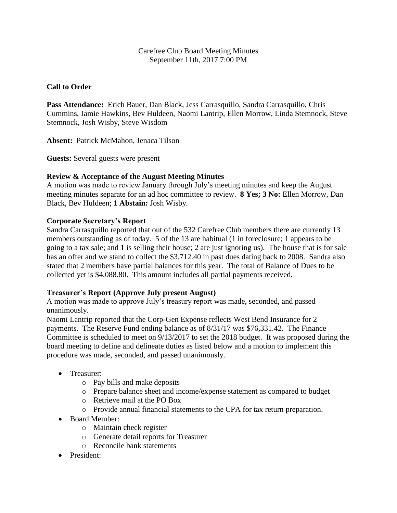## Carefree Club Board Meeting Minutes September 11th, 2017 7:00 PM

## **Call to Order**

**Pass Attendance:** Erich Bauer, Dan Black, Jess Carrasquillo, Sandra Carrasquillo, Chris Cummins, Jamie Hawkins, Bev Huldeen, Naomi Lantrip, Ellen Morrow, Linda Stemnock, Steve Stemnock, Josh Wisby, Steve Wisdom

**Absent:** Patrick McMahon, Jenaca Tilson

**Guests:** Several guests were present

#### **Review & Acceptance of the August Meeting Minutes**

A motion was made to review January through July's meeting minutes and keep the August meeting minutes separate for an ad hoc committee to review. **8 Yes; 3 No:** Ellen Morrow, Dan Black, Bev Huldeen; **1 Abstain:** Josh Wisby.

## **Corporate Secretary's Report**

Sandra Carrasquillo reported that out of the 532 Carefree Club members there are currently 13 members outstanding as of today. 5 of the 13 are habitual (1 in foreclosure; 1 appears to be going to a tax sale; and 1 is selling their house; 2 are just ignoring us). The house that is for sale has an offer and we stand to collect the \$3,712.40 in past dues dating back to 2008. Sandra also stated that 2 members have partial balances for this year. The total of Balance of Dues to be collected yet is \$4,088.80. This amount includes all partial payments received.

#### **Treasurer's Report (Approve July present August)**

A motion was made to approve July's treasury report was made, seconded, and passed unanimously.

Naomi Lantrip reported that the Corp-Gen Expense reflects West Bend Insurance for 2 payments. The Reserve Fund ending balance as of 8/31/17 was \$76,331.42. The Finance Committee is scheduled to meet on 9/13/2017 to set the 2018 budget. It was proposed during the board meeting to define and delineate duties as listed below and a motion to implement this procedure was made, seconded, and passed unanimously.

- Treasurer:
	- o Pay bills and make deposits
	- o Prepare balance sheet and income/expense statement as compared to budget
	- o Retrieve mail at the PO Box
	- o Provide annual financial statements to the CPA for tax return preparation.
- Board Member:
	- o Maintain check register
	- o Generate detail reports for Treasurer
	- o Reconcile bank statements
- President: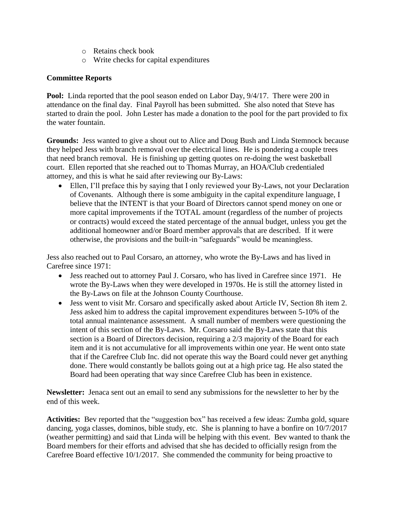- o Retains check book
- o Write checks for capital expenditures

## **Committee Reports**

**Pool:** Linda reported that the pool season ended on Labor Day, 9/4/17. There were 200 in attendance on the final day. Final Payroll has been submitted. She also noted that Steve has started to drain the pool. John Lester has made a donation to the pool for the part provided to fix the water fountain.

**Grounds:** Jess wanted to give a shout out to Alice and Doug Bush and Linda Stemnock because they helped Jess with branch removal over the electrical lines. He is pondering a couple trees that need branch removal. He is finishing up getting quotes on re-doing the west basketball court. Ellen reported that she reached out to Thomas Murray, an HOA/Club credentialed attorney, and this is what he said after reviewing our By-Laws:

 Ellen, I'll preface this by saying that I only reviewed your By-Laws, not your Declaration of Covenants. Although there is some ambiguity in the capital expenditure language, I believe that the INTENT is that your Board of Directors cannot spend money on one or more capital improvements if the TOTAL amount (regardless of the number of projects or contracts) would exceed the stated percentage of the annual budget, unless you get the additional homeowner and/or Board member approvals that are described. If it were otherwise, the provisions and the built-in "safeguards" would be meaningless.

Jess also reached out to Paul Corsaro, an attorney, who wrote the By-Laws and has lived in Carefree since 1971:

- Jess reached out to attorney Paul J. Corsaro, who has lived in Carefree since 1971. He wrote the By-Laws when they were developed in 1970s. He is still the attorney listed in the By-Laws on file at the Johnson County Courthouse.
- Jess went to visit Mr. Corsaro and specifically asked about Article IV, Section 8h item 2. Jess asked him to address the capital improvement expenditures between 5-10% of the total annual maintenance assessment. A small number of members were questioning the intent of this section of the By-Laws. Mr. Corsaro said the By-Laws state that this section is a Board of Directors decision, requiring a 2/3 majority of the Board for each item and it is not accumulative for all improvements within one year. He went onto state that if the Carefree Club Inc. did not operate this way the Board could never get anything done. There would constantly be ballots going out at a high price tag. He also stated the Board had been operating that way since Carefree Club has been in existence.

**Newsletter:** Jenaca sent out an email to send any submissions for the newsletter to her by the end of this week.

**Activities:** Bev reported that the "suggestion box" has received a few ideas: Zumba gold, square dancing, yoga classes, dominos, bible study, etc. She is planning to have a bonfire on 10/7/2017 (weather permitting) and said that Linda will be helping with this event. Bev wanted to thank the Board members for their efforts and advised that she has decided to officially resign from the Carefree Board effective 10/1/2017. She commended the community for being proactive to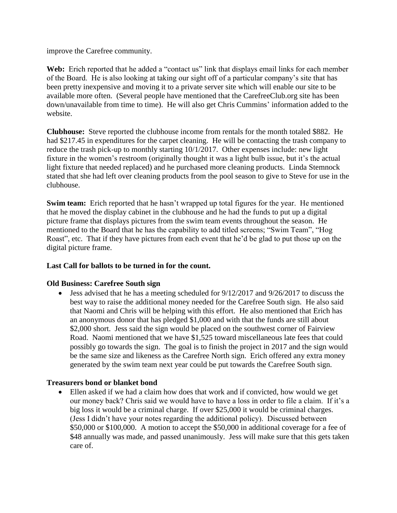improve the Carefree community.

**Web:** Erich reported that he added a "contact us" link that displays email links for each member of the Board. He is also looking at taking our sight off of a particular company's site that has been pretty inexpensive and moving it to a private server site which will enable our site to be available more often. (Several people have mentioned that the CarefreeClub.org site has been down/unavailable from time to time). He will also get Chris Cummins' information added to the website.

**Clubhouse:** Steve reported the clubhouse income from rentals for the month totaled \$882. He had \$217.45 in expenditures for the carpet cleaning. He will be contacting the trash company to reduce the trash pick-up to monthly starting 10/1/2017. Other expenses include: new light fixture in the women's restroom (originally thought it was a light bulb issue, but it's the actual light fixture that needed replaced) and he purchased more cleaning products. Linda Stemnock stated that she had left over cleaning products from the pool season to give to Steve for use in the clubhouse.

**Swim team:** Erich reported that he hasn't wrapped up total figures for the year. He mentioned that he moved the display cabinet in the clubhouse and he had the funds to put up a digital picture frame that displays pictures from the swim team events throughout the season. He mentioned to the Board that he has the capability to add titled screens; "Swim Team", "Hog Roast", etc. That if they have pictures from each event that he'd be glad to put those up on the digital picture frame.

## **Last Call for ballots to be turned in for the count.**

#### **Old Business: Carefree South sign**

• Jess advised that he has a meeting scheduled for  $9/12/2017$  and  $9/26/2017$  to discuss the best way to raise the additional money needed for the Carefree South sign. He also said that Naomi and Chris will be helping with this effort. He also mentioned that Erich has an anonymous donor that has pledged \$1,000 and with that the funds are still about \$2,000 short. Jess said the sign would be placed on the southwest corner of Fairview Road. Naomi mentioned that we have \$1,525 toward miscellaneous late fees that could possibly go towards the sign. The goal is to finish the project in 2017 and the sign would be the same size and likeness as the Carefree North sign. Erich offered any extra money generated by the swim team next year could be put towards the Carefree South sign.

## **Treasurers bond or blanket bond**

 Ellen asked if we had a claim how does that work and if convicted, how would we get our money back? Chris said we would have to have a loss in order to file a claim. If it's a big loss it would be a criminal charge. If over \$25,000 it would be criminal charges. (Jess I didn't have your notes regarding the additional policy). Discussed between \$50,000 or \$100,000. A motion to accept the \$50,000 in additional coverage for a fee of \$48 annually was made, and passed unanimously. Jess will make sure that this gets taken care of.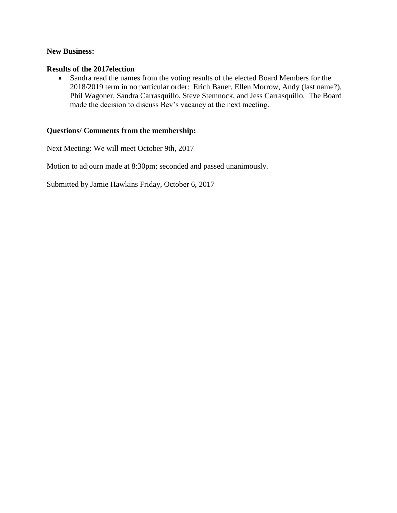#### **New Business:**

#### **Results of the 2017election**

 Sandra read the names from the voting results of the elected Board Members for the 2018/2019 term in no particular order: Erich Bauer, Ellen Morrow, Andy (last name?), Phil Wagoner, Sandra Carrasquillo, Steve Stemnock, and Jess Carrasquillo. The Board made the decision to discuss Bev's vacancy at the next meeting.

## **Questions/ Comments from the membership:**

Next Meeting: We will meet October 9th, 2017

Motion to adjourn made at 8:30pm; seconded and passed unanimously.

Submitted by Jamie Hawkins Friday, October 6, 2017